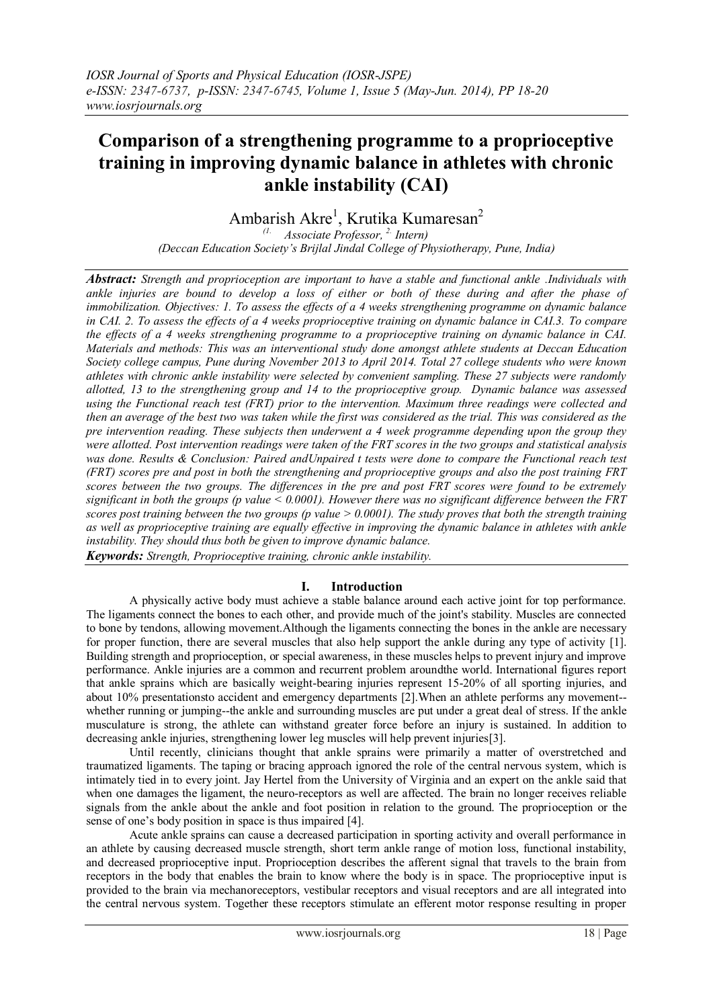# **Comparison of a strengthening programme to a proprioceptive training in improving dynamic balance in athletes with chronic ankle instability (CAI)**

Ambarish Akre<sup>1</sup>, Krutika Kumaresan<sup>2</sup>

*(1. Associate Professor, 2. Intern) (Deccan Education Society's Brijlal Jindal College of Physiotherapy, Pune, India)*

*Abstract: Strength and proprioception are important to have a stable and functional ankle .Individuals with ankle injuries are bound to develop a loss of either or both of these during and after the phase of immobilization. Objectives: 1. To assess the effects of a 4 weeks strengthening programme on dynamic balance in CAI. 2. To assess the effects of a 4 weeks proprioceptive training on dynamic balance in CAI.3. To compare the effects of a 4 weeks strengthening programme to a proprioceptive training on dynamic balance in CAI. Materials and methods: This was an interventional study done amongst athlete students at Deccan Education Society college campus, Pune during November 2013 to April 2014. Total 27 college students who were known athletes with chronic ankle instability were selected by convenient sampling. These 27 subjects were randomly allotted, 13 to the strengthening group and 14 to the proprioceptive group. Dynamic balance was assessed using the Functional reach test (FRT) prior to the intervention. Maximum three readings were collected and then an average of the best two was taken while the first was considered as the trial. This was considered as the pre intervention reading. These subjects then underwent a 4 week programme depending upon the group they were allotted. Post intervention readings were taken of the FRT scores in the two groups and statistical analysis was done. Results & Conclusion: Paired andUnpaired t tests were done to compare the Functional reach test (FRT) scores pre and post in both the strengthening and proprioceptive groups and also the post training FRT scores between the two groups. The differences in the pre and post FRT scores were found to be extremely significant in both the groups (p value < 0.0001). However there was no significant difference between the FRT scores post training between the two groups (p value > 0.0001). The study proves that both the strength training as well as proprioceptive training are equally effective in improving the dynamic balance in athletes with ankle instability. They should thus both be given to improve dynamic balance.*

*Keywords: Strength, Proprioceptive training, chronic ankle instability.*

# **I. Introduction**

A physically active body must achieve a stable balance around each active joint for top performance. The ligaments connect the bones to each other, and provide much of the joint's stability. Muscles are connected to bone by tendons, allowing movement.Although the ligaments connecting the bones in the ankle are necessary for proper function, there are several muscles that also help support the ankle during any type of activity [1]. Building strength and proprioception, or special awareness, in these muscles helps to prevent injury and improve performance. Ankle injuries are a common and recurrent problem aroundthe world. International figures report that ankle sprains which are basically weight-bearing injuries represent 15-20% of all sporting injuries, and about 10% presentationsto accident and emergency departments [2].When an athlete performs any movement- whether running or jumping--the ankle and surrounding muscles are put under a great deal of stress. If the ankle musculature is strong, the athlete can withstand greater force before an injury is sustained. In addition to decreasing ankle injuries, strengthening lower leg muscles will help prevent injuries[3].

Until recently, clinicians thought that ankle sprains were primarily a matter of overstretched and traumatized ligaments. The taping or bracing approach ignored the role of the central nervous system, which is intimately tied in to every joint. Jay Hertel from the University of Virginia and an expert on the ankle said that when one damages the ligament, the neuro-receptors as well are affected. The brain no longer receives reliable signals from the ankle about the ankle and foot position in relation to the ground. The proprioception or the sense of one's body position in space is thus impaired [4].

Acute ankle sprains can cause a decreased participation in sporting activity and overall performance in an athlete by causing decreased muscle strength, short term ankle range of motion loss, functional instability, and decreased proprioceptive input. Proprioception describes the afferent signal that travels to the brain from receptors in the body that enables the brain to know where the body is in space. The proprioceptive input is provided to the brain via mechanoreceptors, vestibular receptors and visual receptors and are all integrated into the central nervous system. Together these receptors stimulate an efferent motor response resulting in proper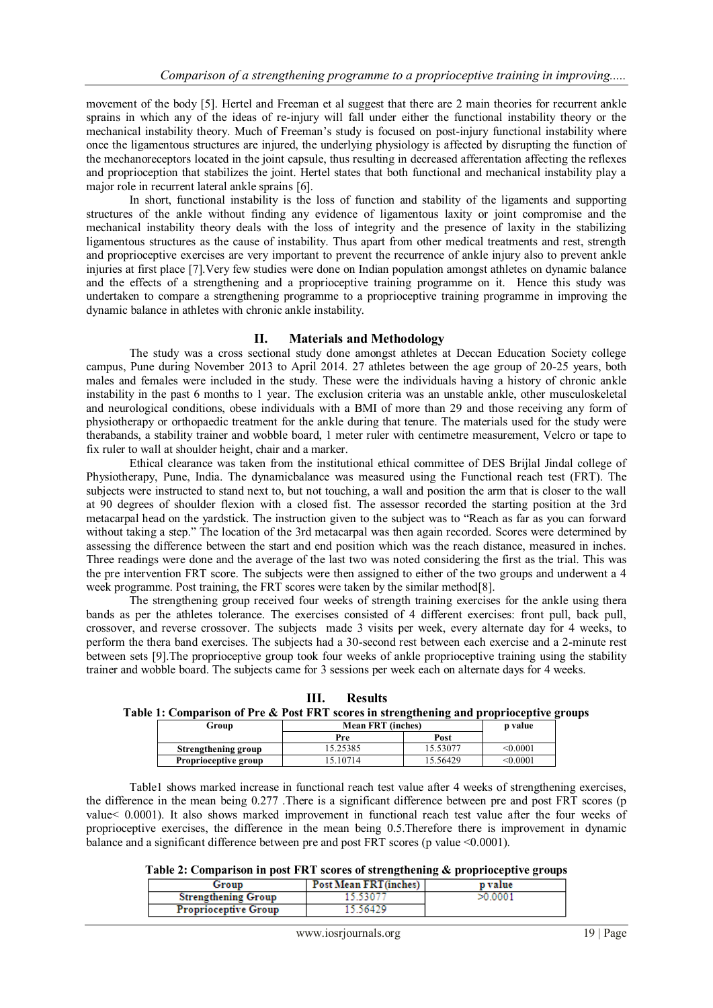movement of the body [5]. Hertel and Freeman et al suggest that there are 2 main theories for recurrent ankle sprains in which any of the ideas of re-injury will fall under either the functional instability theory or the mechanical instability theory. Much of Freeman's study is focused on post-injury functional instability where once the ligamentous structures are injured, the underlying physiology is affected by disrupting the function of the mechanoreceptors located in the joint capsule, thus resulting in decreased afferentation affecting the reflexes and proprioception that stabilizes the joint. Hertel states that both functional and mechanical instability play a major role in recurrent lateral ankle sprains [6].

In short, functional instability is the loss of function and stability of the ligaments and supporting structures of the ankle without finding any evidence of ligamentous laxity or joint compromise and the mechanical instability theory deals with the loss of integrity and the presence of laxity in the stabilizing ligamentous structures as the cause of instability. Thus apart from other medical treatments and rest, strength and proprioceptive exercises are very important to prevent the recurrence of ankle injury also to prevent ankle injuries at first place [7].Very few studies were done on Indian population amongst athletes on dynamic balance and the effects of a strengthening and a proprioceptive training programme on it. Hence this study was undertaken to compare a strengthening programme to a proprioceptive training programme in improving the dynamic balance in athletes with chronic ankle instability.

## **II. Materials and Methodology**

The study was a cross sectional study done amongst athletes at Deccan Education Society college campus, Pune during November 2013 to April 2014. 27 athletes between the age group of 20-25 years, both males and females were included in the study. These were the individuals having a history of chronic ankle instability in the past 6 months to 1 year. The exclusion criteria was an unstable ankle, other musculoskeletal and neurological conditions, obese individuals with a BMI of more than 29 and those receiving any form of physiotherapy or orthopaedic treatment for the ankle during that tenure. The materials used for the study were therabands, a stability trainer and wobble board, 1 meter ruler with centimetre measurement, Velcro or tape to fix ruler to wall at shoulder height, chair and a marker.

Ethical clearance was taken from the institutional ethical committee of DES Brijlal Jindal college of Physiotherapy, Pune, India. The dynamicbalance was measured using the Functional reach test (FRT). The subjects were instructed to stand next to, but not touching, a wall and position the arm that is closer to the wall at 90 degrees of shoulder flexion with a closed fist. The assessor recorded the starting position at the 3rd metacarpal head on the yardstick. The instruction given to the subject was to "Reach as far as you can forward without taking a step." The location of the 3rd metacarpal was then again recorded. Scores were determined by assessing the difference between the start and end position which was the reach distance, measured in inches. Three readings were done and the average of the last two was noted considering the first as the trial. This was the pre intervention FRT score. The subjects were then assigned to either of the two groups and underwent a 4 week programme. Post training, the FRT scores were taken by the similar method[8].

The strengthening group received four weeks of strength training exercises for the ankle using thera bands as per the athletes tolerance. The exercises consisted of 4 different exercises: front pull, back pull, crossover, and reverse crossover. The subjects made 3 visits per week, every alternate day for 4 weeks, to perform the thera band exercises. The subjects had a 30-second rest between each exercise and a 2-minute rest between sets [9].The proprioceptive group took four weeks of ankle proprioceptive training using the stability trainer and wobble board. The subjects came for 3 sessions per week each on alternate days for 4 weeks.

**III. Results Table 1: Comparison of Pre & Post FRT scores in strengthening and proprioceptive groups**

| Group                       | <b>Mean FRT (inches)</b> |          | <b>p</b> value |
|-----------------------------|--------------------------|----------|----------------|
|                             | Pre                      | Post     |                |
| Strengthening group         | 5.25385                  | 15.53077 | < 0.0001       |
| <b>Proprioceptive group</b> | 5.10714                  | 15.56429 | $<$ $0.0001$   |

Table1 shows marked increase in functional reach test value after 4 weeks of strengthening exercises, the difference in the mean being 0.277 .There is a significant difference between pre and post FRT scores (p value< 0.0001). It also shows marked improvement in functional reach test value after the four weeks of proprioceptive exercises, the difference in the mean being 0.5.Therefore there is improvement in dynamic balance and a significant difference between pre and post FRT scores (p value <0.0001).

### **Table 2: Comparison in post FRT scores of strengthening & proprioceptive groups**

| Group                       | Post Mean FRT(inches) |  | p value |  |
|-----------------------------|-----------------------|--|---------|--|
| <b>Strengthening Group</b>  | .3.5307               |  | >0.0001 |  |
| <b>Proprioceptive Group</b> | 5.56429               |  |         |  |